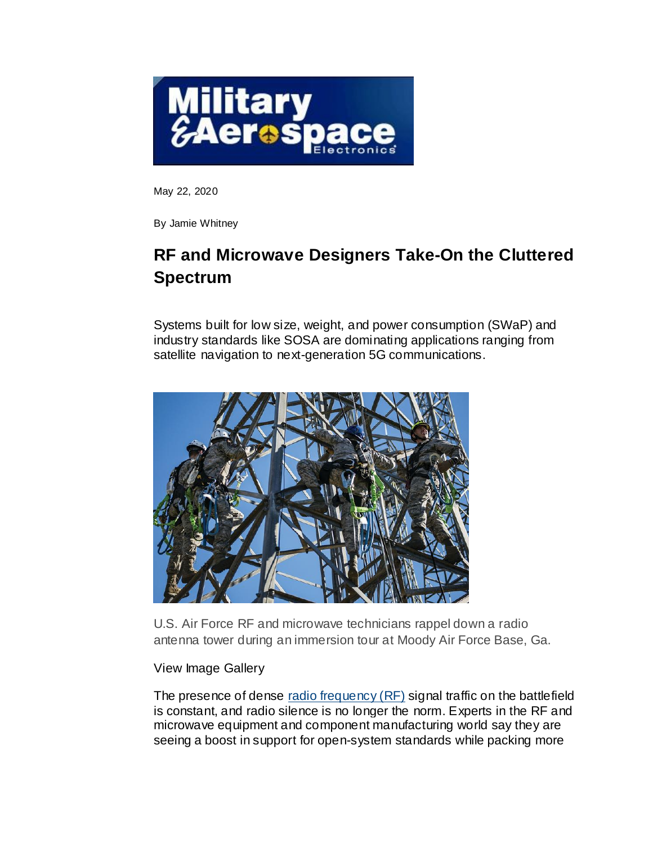

May 22, 2020

By Jamie Whitney

# **RF and Microwave Designers Take-On the Cluttered Spectrum**

Systems built for low size, weight, and power consumption (SWaP) and industry standards like SOSA are dominating applications ranging from satellite navigation to next-generation 5G communications.



U.S. Air Force RF and microwave technicians rappel down a radio antenna tower during an immersion tour at Moody Air Force Base, Ga.

# View Image Gallery

The presence of dense [radio frequency \(RF\)](https://www.militaryaerospace.com/rf-analog) signal traffic on the battlefield is constant, and radio silence is no longer the norm. Experts in the RF and microwave equipment and component manufacturing world say they are seeing a boost in support for open-system standards while packing more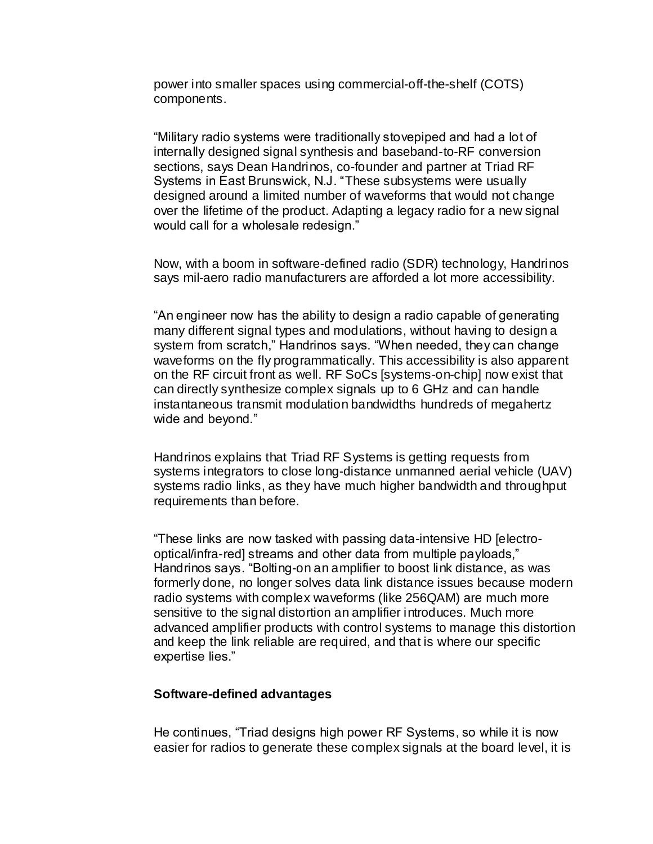power into smaller spaces using commercial-off-the-shelf (COTS) components.

"Military radio systems were traditionally stovepiped and had a lot of internally designed signal synthesis and baseband-to-RF conversion sections, says Dean Handrinos, co-founder and partner at Triad RF Systems in East Brunswick, N.J. "These subsystems were usually designed around a limited number of waveforms that would not change over the lifetime of the product. Adapting a legacy radio for a new signal would call for a wholesale redesign."

Now, with a boom in software-defined radio (SDR) technology, Handrinos says mil-aero radio manufacturers are afforded a lot more accessibility.

"An engineer now has the ability to design a radio capable of generating many different signal types and modulations, without having to design a system from scratch," Handrinos says. "When needed, they can change waveforms on the fly programmatically. This accessibility is also apparent on the RF circuit front as well. RF SoCs [systems-on-chip] now exist that can directly synthesize complex signals up to 6 GHz and can handle instantaneous transmit modulation bandwidths hundreds of megahertz wide and beyond."

Handrinos explains that Triad RF Systems is getting requests from systems integrators to close long-distance unmanned aerial vehicle (UAV) systems radio links, as they have much higher bandwidth and throughput requirements than before.

"These links are now tasked with passing data-intensive HD [electrooptical/infra-red] streams and other data from multiple payloads," Handrinos says. "Bolting-on an amplifier to boost link distance, as was formerly done, no longer solves data link distance issues because modern radio systems with complex waveforms (like 256QAM) are much more sensitive to the signal distortion an amplifier introduces. Much more advanced amplifier products with control systems to manage this distortion and keep the link reliable are required, and that is where our specific expertise lies."

#### **Software-defined advantages**

He continues, "Triad designs high power RF Systems, so while it is now easier for radios to generate these complex signals at the board level, it is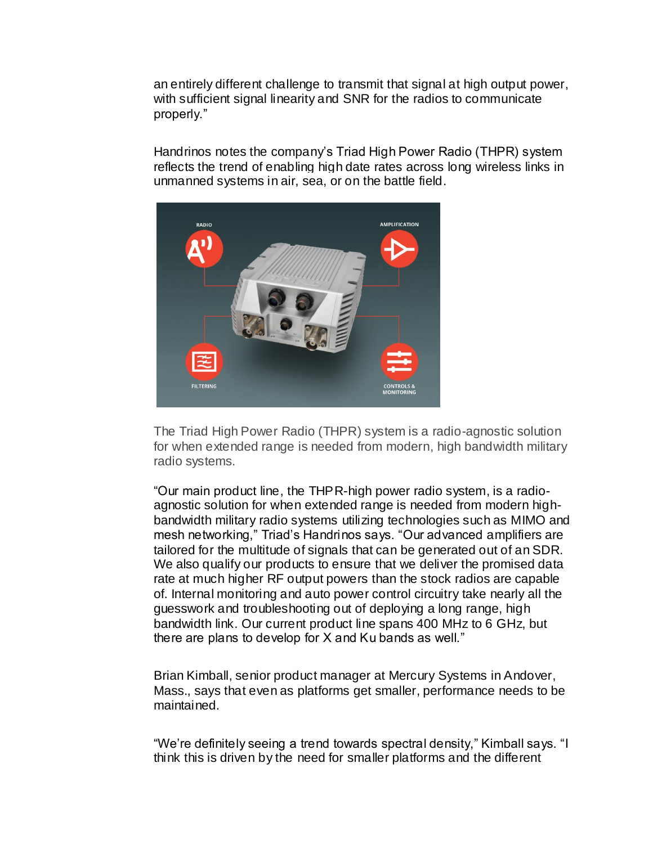an entirely different challenge to transmit that signal at high output power, with sufficient signal linearity and SNR for the radios to communicate properly."

Handrinos notes the company's Triad High Power Radio (THPR) system reflects the trend of enabling high date rates across long wireless links in unmanned systems in air, sea, or on the battle field.



The Triad High Power Radio (THPR) system is a radio-agnostic solution for when extended range is needed from modern, high bandwidth military radio systems.

"Our main product line, the THPR-high power radio system, is a radioagnostic solution for when extended range is needed from modern highbandwidth military radio systems utilizing technologies such as MIMO and mesh networking," Triad's Handrinos says. "Our advanced amplifiers are tailored for the multitude of signals that can be generated out of an SDR. We also qualify our products to ensure that we deliver the promised data rate at much higher RF output powers than the stock radios are capable of. Internal monitoring and auto power control circuitry take nearly all the guesswork and troubleshooting out of deploying a long range, high bandwidth link. Our current product line spans 400 MHz to 6 GHz, but there are plans to develop for X and Ku bands as well."

Brian Kimball, senior product manager at Mercury Systems in Andover, Mass., says that even as platforms get smaller, performance needs to be maintained.

"We're definitely seeing a trend towards spectral density," Kimball says. "I think this is driven by the need for smaller platforms and the different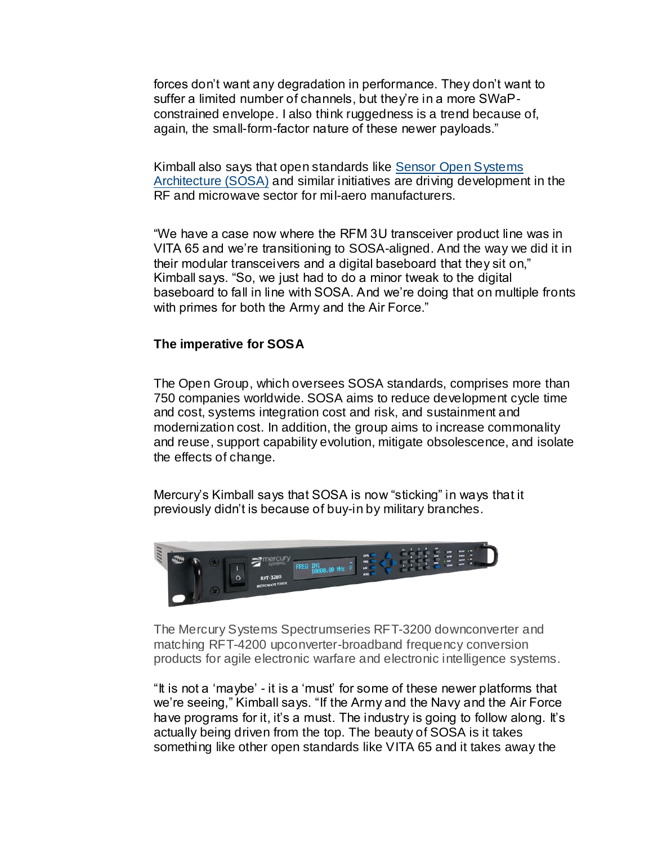forces don't want any degradation in performance. They don't want to suffer a limited number of channels, but they're in a more SWaPconstrained envelope. I also think ruggedness is a trend because of, again, the small-form-factor nature of these newer payloads."

Kimball also says that open standards like [Sensor Open Systems](https://www.militaryaerospace.com/computers/article/16722043/sosa-opensystems-standards-for-military-embedded-computing-could-double-or-triple-the-market)  [Architecture \(SOSA\)](https://www.militaryaerospace.com/computers/article/16722043/sosa-opensystems-standards-for-military-embedded-computing-could-double-or-triple-the-market) and similar initiatives are driving development in the RF and microwave sector for mil-aero manufacturers.

"We have a case now where the RFM 3U transceiver product line was in VITA 65 and we're transitioning to SOSA-aligned. And the way we did it in their modular transceivers and a digital baseboard that they sit on," Kimball says. "So, we just had to do a minor tweak to the digital baseboard to fall in line with SOSA. And we're doing that on multiple fronts with primes for both the Army and the Air Force."

#### **The imperative for SOSA**

The Open Group, which oversees SOSA standards, comprises more than 750 companies worldwide. SOSA aims to reduce development cycle time and cost, systems integration cost and risk, and sustainment and modernization cost. In addition, the group aims to increase commonality and reuse, support capability evolution, mitigate obsolescence, and isolate the effects of change.

Mercury's Kimball says that SOSA is now "sticking" in ways that it previously didn't is because of buy-in by military branches.



The Mercury Systems Spectrumseries RFT-3200 downconverter and matching RFT-4200 upconverter-broadband frequency conversion products for agile electronic warfare and electronic intelligence systems.

"It is not a 'maybe' - it is a 'must' for some of these newer platforms that we're seeing," Kimball says. "If the Army and the Navy and the Air Force have programs for it, it's a must. The industry is going to follow along. It's actually being driven from the top. The beauty of SOSA is it takes something like other open standards like VITA 65 and it takes away the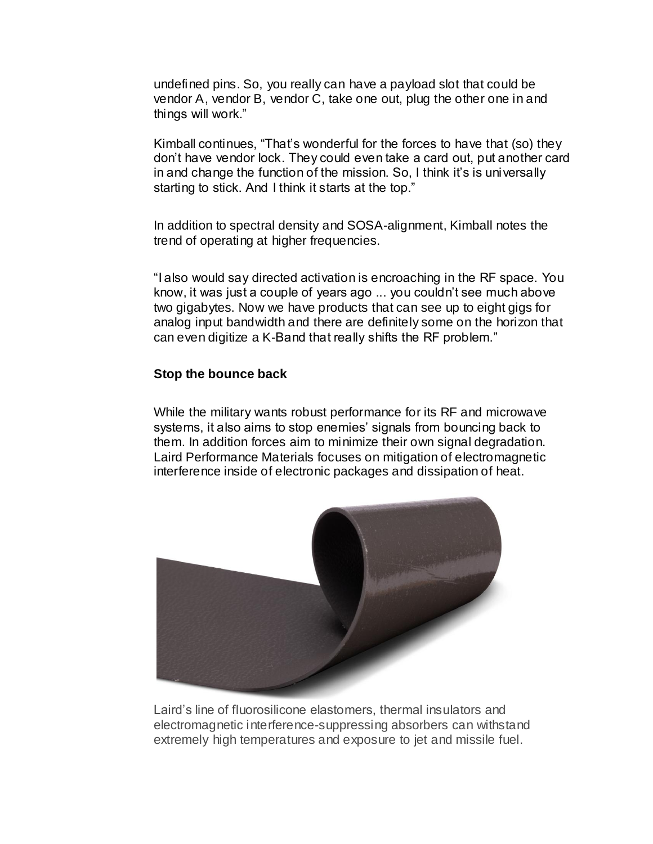undefined pins. So, you really can have a payload slot that could be vendor A, vendor B, vendor C, take one out, plug the other one in and things will work."

Kimball continues, "That's wonderful for the forces to have that (so) they don't have vendor lock. They could even take a card out, put another card in and change the function of the mission. So, I think it's is universally starting to stick. And I think it starts at the top."

In addition to spectral density and SOSA-alignment, Kimball notes the trend of operating at higher frequencies.

"I also would say directed activation is encroaching in the RF space. You know, it was just a couple of years ago ... you couldn't see much above two gigabytes. Now we have products that can see up to eight gigs for analog input bandwidth and there are definitely some on the horizon that can even digitize a K-Band that really shifts the RF problem."

### **Stop the bounce back**

While the military wants robust performance for its RF and microwave systems, it also aims to stop enemies' signals from bouncing back to them. In addition forces aim to minimize their own signal degradation. Laird Performance Materials focuses on mitigation of electromagnetic interference inside of electronic packages and dissipation of heat.



Laird's line of fluorosilicone elastomers, thermal insulators and electromagnetic interference-suppressing absorbers can withstand extremely high temperatures and exposure to jet and missile fuel.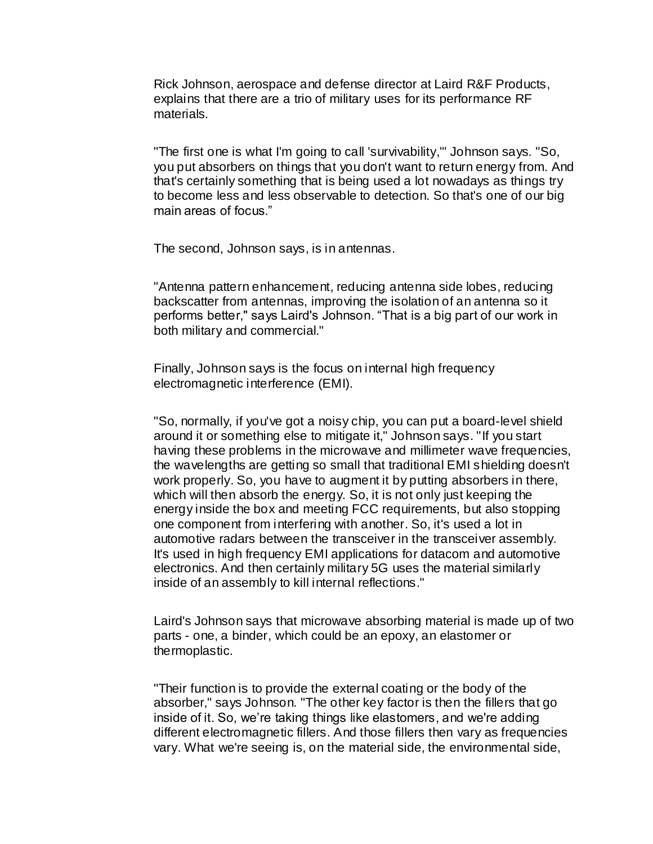Rick Johnson, aerospace and defense director at Laird R&F Products, explains that there are a trio of military uses for its performance RF materials.

"The first one is what I'm going to call 'survivability,'" Johnson says. "So, you put absorbers on things that you don't want to return energy from. And that's certainly something that is being used a lot nowadays as things try to become less and less observable to detection. So that's one of our big main areas of focus."

The second, Johnson says, is in antennas.

"Antenna pattern enhancement, reducing antenna side lobes, reducing backscatter from antennas, improving the isolation of an antenna so it performs better," says Laird's Johnson. "That is a big part of our work in both military and commercial."

Finally, Johnson says is the focus on internal high frequency electromagnetic interference (EMI).

"So, normally, if you've got a noisy chip, you can put a board-level shield around it or something else to mitigate it," Johnson says. "If you start having these problems in the microwave and millimeter wave frequencies, the wavelengths are getting so small that traditional EMI shielding doesn't work properly. So, you have to augment it by putting absorbers in there, which will then absorb the energy. So, it is not only just keeping the energy inside the box and meeting FCC requirements, but also stopping one component from interfering with another. So, it's used a lot in automotive radars between the transceiver in the transceiver assembly. It's used in high frequency EMI applications for datacom and automotive electronics. And then certainly military 5G uses the material similarly inside of an assembly to kill internal reflections."

Laird's Johnson says that microwave absorbing material is made up of two parts - one, a binder, which could be an epoxy, an elastomer or thermoplastic.

"Their function is to provide the external coating or the body of the absorber," says Johnson. "The other key factor is then the fillers that go inside of it. So, we're taking things like elastomers, and we're adding different electromagnetic fillers. And those fillers then vary as frequencies vary. What we're seeing is, on the material side, the environmental side,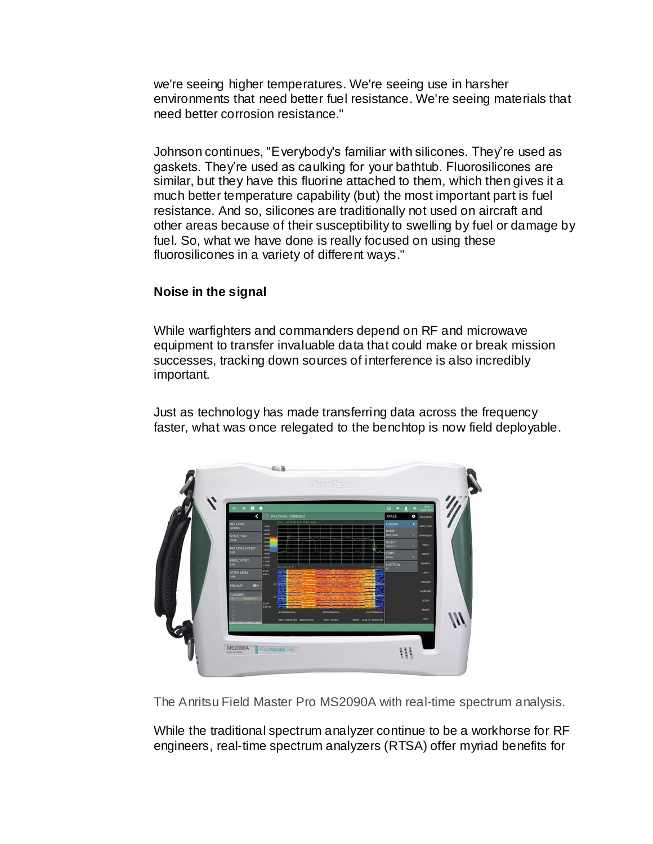we're seeing higher temperatures. We're seeing use in harsher environments that need better fuel resistance. We're seeing materials that need better corrosion resistance."

Johnson continues, "Everybody's familiar with silicones. They're used as gaskets. They're used as caulking for your bathtub. Fluorosilicones are similar, but they have this fluorine attached to them, which then gives it a much better temperature capability (but) the most important part is fuel resistance. And so, silicones are traditionally not used on aircraft and other areas because of their susceptibility to swelling by fuel or damage by fuel. So, what we have done is really focused on using these fluorosilicones in a variety of different ways."

# **Noise in the signal**

While warfighters and commanders depend on RF and microwave equipment to transfer invaluable data that could make or break mission successes, tracking down sources of interference is also incredibly important.

Just as technology has made transferring data across the frequency faster, what was once relegated to the benchtop is now field deployable.



The Anritsu Field Master Pro MS2090A with real-time spectrum analysis.

While the traditional spectrum analyzer continue to be a workhorse for RF engineers, real-time spectrum analyzers (RTSA) offer myriad benefits for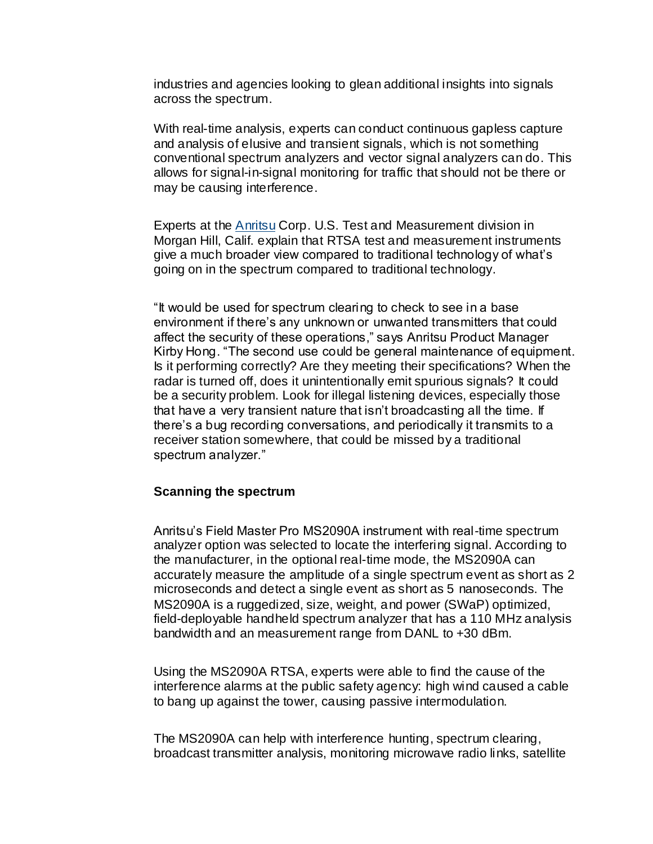industries and agencies looking to glean additional insights into signals across the spectrum.

With real-time analysis, experts can conduct continuous gapless capture and analysis of elusive and transient signals, which is not something conventional spectrum analyzers and vector signal analyzers can do. This allows for signal-in-signal monitoring for traffic that should not be there or may be causing interference.

Experts at the [Anritsu](https://www.militaryaerospace.com/directory/test-and-measurement/spectrum-analyzers/product/14062807/anritsu-spectrum-master-ultraportable-spectrum-analyzer) Corp. U.S. Test and Measurement division in Morgan Hill, Calif. explain that RTSA test and measurement instruments give a much broader view compared to traditional technology of what's going on in the spectrum compared to traditional technology.

"It would be used for spectrum clearing to check to see in a base environment if there's any unknown or unwanted transmitters that could affect the security of these operations," says Anritsu Product Manager Kirby Hong. "The second use could be general maintenance of equipment. Is it performing correctly? Are they meeting their specifications? When the radar is turned off, does it unintentionally emit spurious signals? It could be a security problem. Look for illegal listening devices, especially those that have a very transient nature that isn't broadcasting all the time. If there's a bug recording conversations, and periodically it transmits to a receiver station somewhere, that could be missed by a traditional spectrum analyzer."

#### **Scanning the spectrum**

Anritsu's Field Master Pro MS2090A instrument with real-time spectrum analyzer option was selected to locate the interfering signal. According to the manufacturer, in the optional real-time mode, the MS2090A can accurately measure the amplitude of a single spectrum event as short as 2 microseconds and detect a single event as short as 5 nanoseconds. The MS2090A is a ruggedized, size, weight, and power (SWaP) optimized, field-deployable handheld spectrum analyzer that has a 110 MHz analysis bandwidth and an measurement range from DANL to +30 dBm.

Using the MS2090A RTSA, experts were able to find the cause of the interference alarms at the public safety agency: high wind caused a cable to bang up against the tower, causing passive intermodulation.

The MS2090A can help with interference hunting, spectrum clearing, broadcast transmitter analysis, monitoring microwave radio links, satellite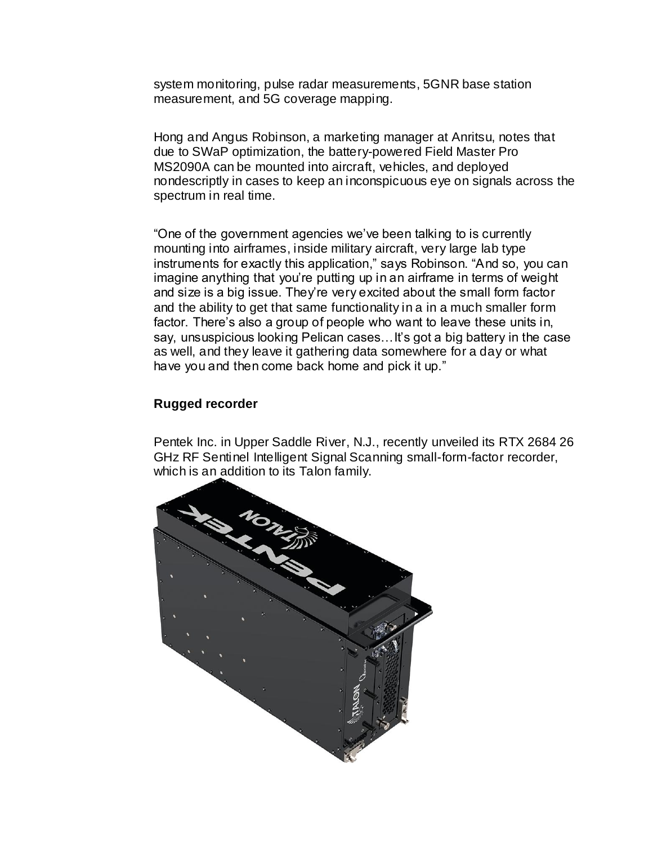system monitoring, pulse radar measurements, 5GNR base station measurement, and 5G coverage mapping.

Hong and Angus Robinson, a marketing manager at Anritsu, notes that due to SWaP optimization, the battery-powered Field Master Pro MS2090A can be mounted into aircraft, vehicles, and deployed nondescriptly in cases to keep an inconspicuous eye on signals across the spectrum in real time.

"One of the government agencies we've been talking to is currently mounting into airframes, inside military aircraft, very large lab type instruments for exactly this application," says Robinson. "And so, you can imagine anything that you're putting up in an airframe in terms of weight and size is a big issue. They're very excited about the small form factor and the ability to get that same functionality in a in a much smaller form factor. There's also a group of people who want to leave these units in, say, unsuspicious looking Pelican cases…It's got a big battery in the case as well, and they leave it gathering data somewhere for a day or what have you and then come back home and pick it up."

# **Rugged recorder**

Pentek Inc. in Upper Saddle River, N.J., recently unveiled its RTX 2684 26 GHz RF Sentinel Intelligent Signal Scanning small-form-factor recorder, which is an addition to its Talon family.